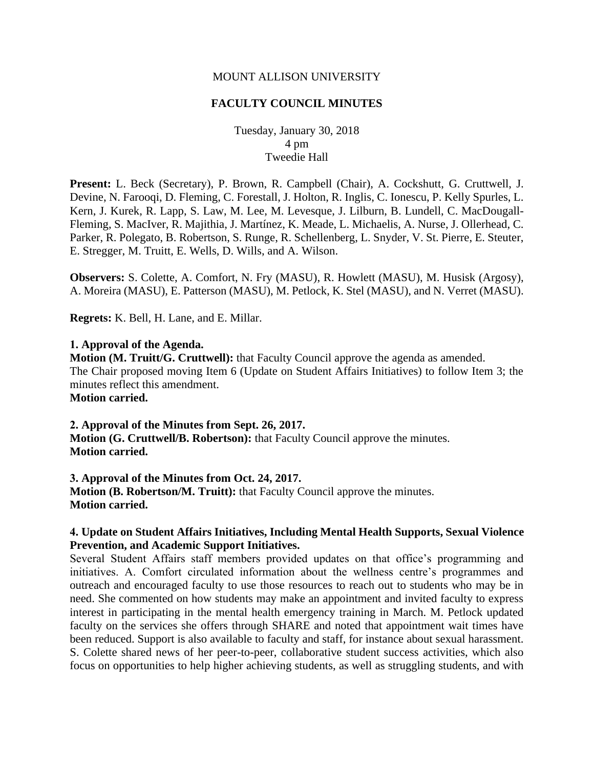### MOUNT ALLISON UNIVERSITY

### **FACULTY COUNCIL MINUTES**

Tuesday, January 30, 2018 4 pm Tweedie Hall

**Present:** L. Beck (Secretary), P. Brown, R. Campbell (Chair), A. Cockshutt, G. Cruttwell, J. Devine, N. Farooqi, D. Fleming, C. Forestall, J. Holton, R. Inglis, C. Ionescu, P. Kelly Spurles, L. Kern, J. Kurek, R. Lapp, S. Law, M. Lee, M. Levesque, J. Lilburn, B. Lundell, C. MacDougall-Fleming, S. MacIver, R. Majithia, J. Martínez, K. Meade, L. Michaelis, A. Nurse, J. Ollerhead, C. Parker, R. Polegato, B. Robertson, S. Runge, R. Schellenberg, L. Snyder, V. St. Pierre, E. Steuter, E. Stregger, M. Truitt, E. Wells, D. Wills, and A. Wilson.

**Observers:** S. Colette, A. Comfort, N. Fry (MASU), R. Howlett (MASU), M. Husisk (Argosy), A. Moreira (MASU), E. Patterson (MASU), M. Petlock, K. Stel (MASU), and N. Verret (MASU).

**Regrets:** K. Bell, H. Lane, and E. Millar.

#### **1. Approval of the Agenda.**

**Motion (M. Truitt/G. Cruttwell):** that Faculty Council approve the agenda as amended. The Chair proposed moving Item 6 (Update on Student Affairs Initiatives) to follow Item 3; the minutes reflect this amendment.

**Motion carried.**

#### **2. Approval of the Minutes from Sept. 26, 2017.**

**Motion (G. Cruttwell/B. Robertson):** that Faculty Council approve the minutes. **Motion carried.**

**3. Approval of the Minutes from Oct. 24, 2017. Motion (B. Robertson/M. Truitt):** that Faculty Council approve the minutes. **Motion carried.**

## **4. Update on Student Affairs Initiatives, Including Mental Health Supports, Sexual Violence Prevention, and Academic Support Initiatives.**

Several Student Affairs staff members provided updates on that office's programming and initiatives. A. Comfort circulated information about the wellness centre's programmes and outreach and encouraged faculty to use those resources to reach out to students who may be in need. She commented on how students may make an appointment and invited faculty to express interest in participating in the mental health emergency training in March. M. Petlock updated faculty on the services she offers through SHARE and noted that appointment wait times have been reduced. Support is also available to faculty and staff, for instance about sexual harassment. S. Colette shared news of her peer-to-peer, collaborative student success activities, which also focus on opportunities to help higher achieving students, as well as struggling students, and with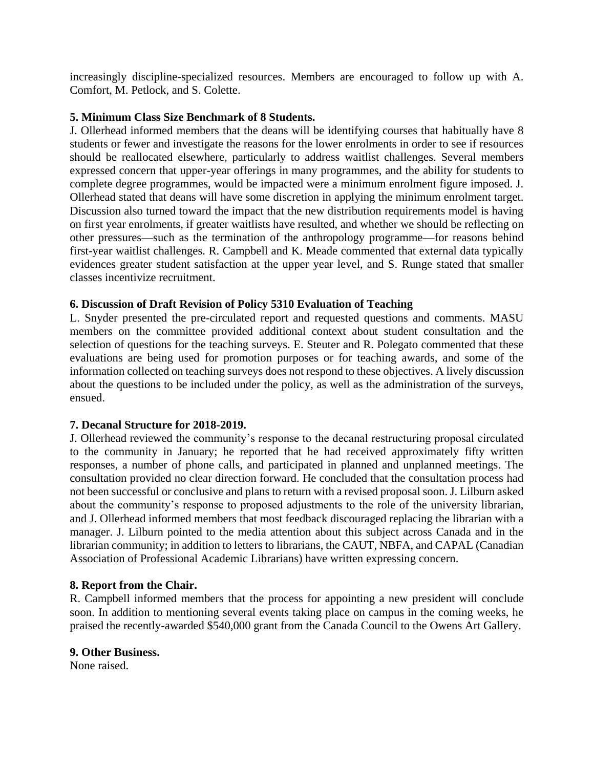increasingly discipline-specialized resources. Members are encouraged to follow up with A. Comfort, M. Petlock, and S. Colette.

# **5. Minimum Class Size Benchmark of 8 Students.**

J. Ollerhead informed members that the deans will be identifying courses that habitually have 8 students or fewer and investigate the reasons for the lower enrolments in order to see if resources should be reallocated elsewhere, particularly to address waitlist challenges. Several members expressed concern that upper-year offerings in many programmes, and the ability for students to complete degree programmes, would be impacted were a minimum enrolment figure imposed. J. Ollerhead stated that deans will have some discretion in applying the minimum enrolment target. Discussion also turned toward the impact that the new distribution requirements model is having on first year enrolments, if greater waitlists have resulted, and whether we should be reflecting on other pressures—such as the termination of the anthropology programme—for reasons behind first-year waitlist challenges. R. Campbell and K. Meade commented that external data typically evidences greater student satisfaction at the upper year level, and S. Runge stated that smaller classes incentivize recruitment.

# **6. Discussion of Draft Revision of Policy 5310 Evaluation of Teaching**

L. Snyder presented the pre-circulated report and requested questions and comments. MASU members on the committee provided additional context about student consultation and the selection of questions for the teaching surveys. E. Steuter and R. Polegato commented that these evaluations are being used for promotion purposes or for teaching awards, and some of the information collected on teaching surveys does not respond to these objectives. A lively discussion about the questions to be included under the policy, as well as the administration of the surveys, ensued.

## **7. Decanal Structure for 2018-2019.**

J. Ollerhead reviewed the community's response to the decanal restructuring proposal circulated to the community in January; he reported that he had received approximately fifty written responses, a number of phone calls, and participated in planned and unplanned meetings. The consultation provided no clear direction forward. He concluded that the consultation process had not been successful or conclusive and plans to return with a revised proposal soon. J. Lilburn asked about the community's response to proposed adjustments to the role of the university librarian, and J. Ollerhead informed members that most feedback discouraged replacing the librarian with a manager. J. Lilburn pointed to the media attention about this subject across Canada and in the librarian community; in addition to letters to librarians, the CAUT, NBFA, and CAPAL (Canadian Association of Professional Academic Librarians) have written expressing concern.

## **8. Report from the Chair.**

R. Campbell informed members that the process for appointing a new president will conclude soon. In addition to mentioning several events taking place on campus in the coming weeks, he praised the recently-awarded \$540,000 grant from the Canada Council to the Owens Art Gallery.

## **9. Other Business.**

None raised.